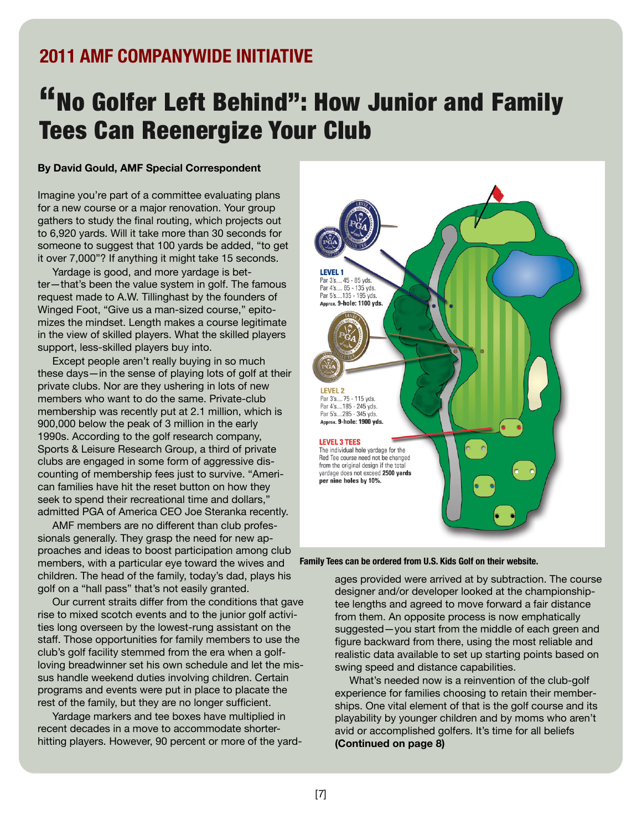## **2011 AMF COMPANYWIDE INITIATIVE**

## "No Golfer Left Behind": How Junior and Family Tees Can Reenergize Your Club

## **By David Gould, AMF Special Correspondent**

Imagine you're part of a committee evaluating plans for a new course or a major renovation. Your group gathers to study the final routing, which projects out to 6,920 yards. Will it take more than 30 seconds for someone to suggest that 100 yards be added, "to get it over 7,000"? If anything it might take 15 seconds.

Yardage is good, and more yardage is better—that's been the value system in golf. The famous request made to A.W. Tillinghast by the founders of Winged Foot, "Give us a man-sized course, " epitomizes the mindset. Length makes a course legitimate in the view of skilled players. What the skilled players support, less-skilled players buy into.

Except people aren't really buying in so much these days—in the sense of playing lots of golf at their private clubs. Nor are they ushering in lots of new members who want to do the same. Private-club membership was recently put at 2.1 million, which is 900,000 below the peak of 3 million in the early 1990s. According to the golf research company, Sports & Leisure Research Group, a third of private clubs are engaged in some form of aggressive discounting of membership fees just to survive. "American families have hit the reset button on how they seek to spend their recreational time and dollars, " admitted PGA of America CEO Joe Steranka recently.

AMF members are no different than club professionals generally. They grasp the need for new approaches and ideas to boost participation among club members, with a particular eye toward the wives and children. The head of the family, today's dad, plays his golf on a "hall pass" that's not easily granted.

Our current straits differ from the conditions that gave rise to mixed scotch events and to the junior golf activities long overseen by the lowest-rung assistant on the staff. Those opportunities for family members to use the club's golf facility stemmed from the era when a golfloving breadwinner set his own schedule and let the missus handle weekend duties involving children. Certain programs and events were put in place to placate the rest of the family, but they are no longer sufficient.

Yardage markers and tee boxes have multiplied in recent decades in a move to accommodate shorterhitting players. However, 90 percent or more of the yard-



**Family Tees can be ordered from U.S. Kids Golf on their website.**

ages provided were arrived at by subtraction. The course designer and/or developer looked at the championshiptee lengths and agreed to move forward a fair distance from them. An opposite process is now emphatically suggested—you start from the middle of each green and figure backward from there, using the most reliable and realistic data available to set up starting points based on swing speed and distance capabilities.

What's needed now is a reinvention of the club-golf experience for families choosing to retain their memberships. One vital element of that is the golf course and its playability by younger children and by moms who aren't avid or accomplished golfers. It's time for all beliefs **(Continued on page 8)**